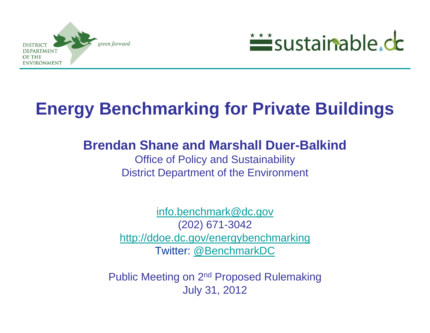



# **Energy Benchmarking for Private Buildings**

#### **Brendan Shane and Marshall Duer-Balkind**

Office of Policy and Sustainability District Department of the Environment

[info.benchmark@dc.gov](mailto:info.benchmark@dc.gov) (202) 671-3042 <http://ddoe.dc.gov/energybenchmarking> Twitter: [@BenchmarkDC](http://www.twitter.com/BenchmarkDC)

Public Meeting on 2nd Proposed Rulemaking July 31, 2012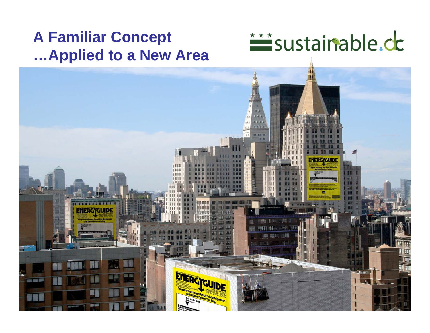#### **A Familiar Concept …Applied to a New Area**

sustainable.cc

 $11111$ 

ENERGY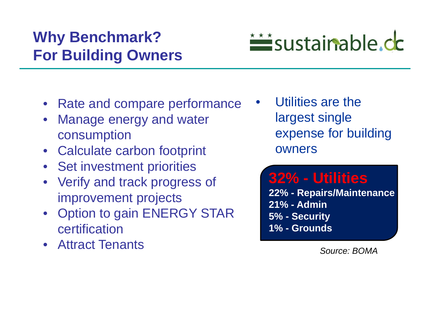### **Why Benchmark? For Building Owners**

- Rate and compare performance
- Manage energy and water consumption
- Calculate carbon footprint
- Set investment priorities
- Verify and track progress of improvement projects
- Option to gain ENERGY STAR certification
- Attract Tenants

 Utilities are the largest single expense for building owners

*interiorable.cc* 

•

**32% - Utilities 22% - Repairs/Maintenance 21% - Admin5% - Security 1% - Grounds**

*Source: BOMA*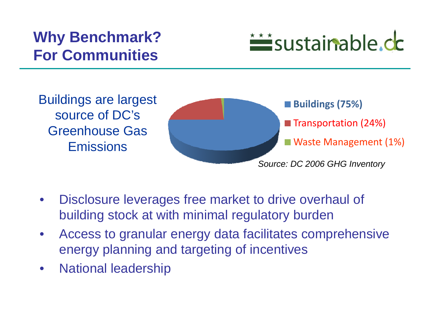### **Why Benchmark? For Communities**



Buildings are largest source of DC's Greenhouse Gas **Emissions** 



- • Disclosure leverages free market to drive overhaul of building stock at with minimal regulatory burden
- • Access to granular energy data facilitates comprehensive energy planning and targeting of incentives
- •National leadership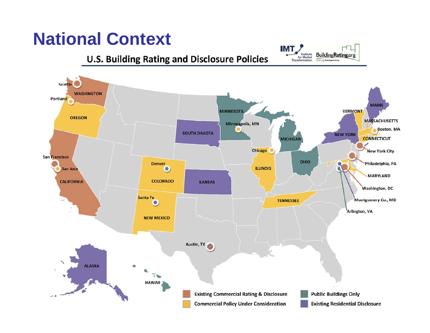# **National Context**

#### **U.S. Building Rating and Disclosure Policies**



**IMT** 

Institute<br>for Market

Transformation

Building **Rating** org

charing transparence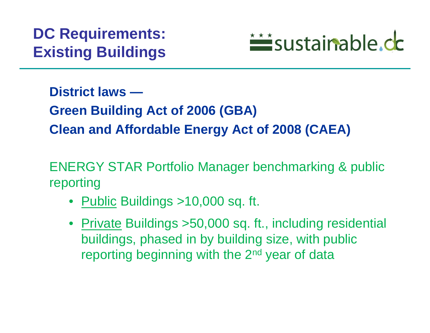

**District laws —**

**Green Building Act of 2006 (GBA) Clean and Affordable Energy Act of 2008 (CAEA)**

ENERGY STAR Portfolio Manager benchmarking & public reporting

- <u>Public</u> Buildings >10,000 sq. ft.
- Private Buildings >50,000 sq. ft., including residential buildings, phased in by building size, with public reporting beginning with the 2<sup>nd</sup> year of data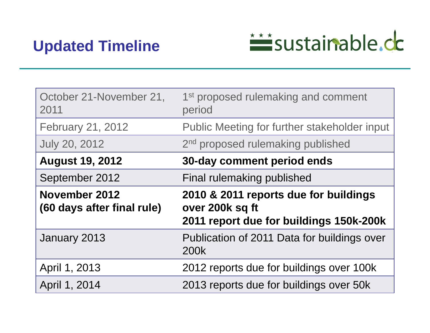

| October 21-November 21,<br>2011             | 1 <sup>st</sup> proposed rulemaking and comment<br>period                                           |
|---------------------------------------------|-----------------------------------------------------------------------------------------------------|
| <b>February 21, 2012</b>                    | Public Meeting for further stakeholder input                                                        |
| <b>July 20, 2012</b>                        | 2 <sup>nd</sup> proposed rulemaking published                                                       |
| <b>August 19, 2012</b>                      | 30-day comment period ends                                                                          |
| September 2012                              | Final rulemaking published                                                                          |
|                                             |                                                                                                     |
| November 2012<br>(60 days after final rule) | 2010 & 2011 reports due for buildings<br>over 200k sq ft<br>2011 report due for buildings 150k-200k |
| January 2013                                | Publication of 2011 Data for buildings over<br>200k                                                 |
| April 1, 2013                               | 2012 reports due for buildings over 100k                                                            |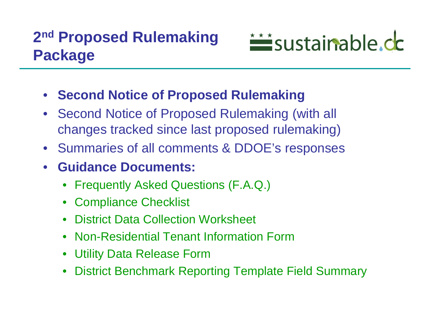

- **Second Notice of Proposed Rulemaking**
- • Second Notice of Proposed Rulemaking (with all changes tracked since last proposed rulemaking)
- Summaries of all comments & DDOE's responses
- $\bullet$  **Guidance Documents:**
	- Frequently Asked Questions (F.A.Q.)
	- •Compliance Checklist
	- $\bullet$ District Data Collection Worksheet
	- $\bullet$ Non-Residential Tenant Information Form
	- $\bullet$ Utility Data Release Form
	- $\bullet$ District Benchmark Reporting Template Field Summary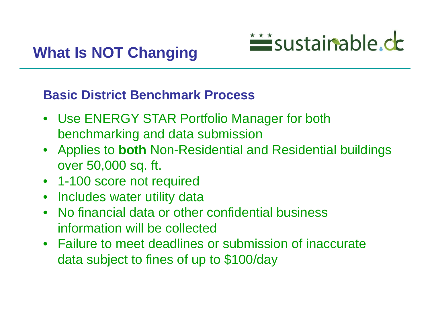

#### **Basic District Benchmark Process**

- Use ENERGY STAR Portfolio Manager for both benchmarking and data submission
- Applies to **both** Non-Residential and Residential buildings over 50,000 sq. ft.
- 1-100 score not required
- Includes water utility data
- No financial data or other confidential business information will be collected
- Failure to meet deadlines or submission of inaccurate data subject to fines of up to \$100/day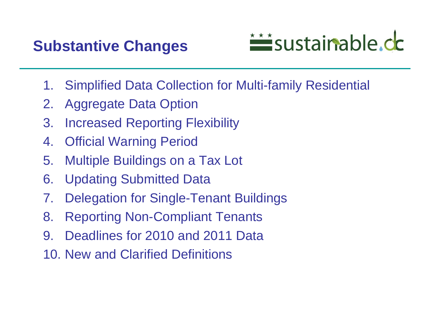### **Substantive Changes**



- 1.Simplified Data Collection for Multi-family Residential
- 2.Aggregate Data Option
- 3. Increased Reporting Flexibility
- 4. Official Warning Period
- 5. Multiple Buildings on a Tax Lot
- 6. Updating Submitted Data
- 7.Delegation for Single-Tenant Buildings
- 8. Reporting Non-Compliant Tenants
- 9. Deadlines for 2010 and 2011 Data
- 10. New and Clarified Definitions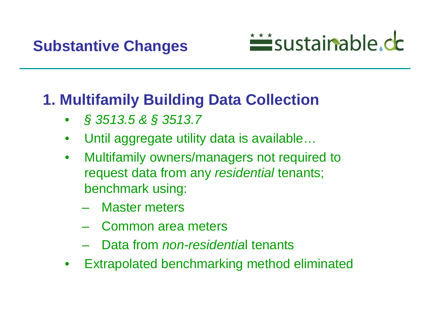

# **1. Multifamily Building Data Collection**

- •*§ 3513.5 & § 3513.7*
- •Until aggregate utility data is available…
- • Multifamily owners/managers not required to request data from any *residential* tenants; benchmark using:
	- Master meters
	- Common area meters
	- Data from *non-residentia*l tenants
- •Extrapolated benchmarking method eliminated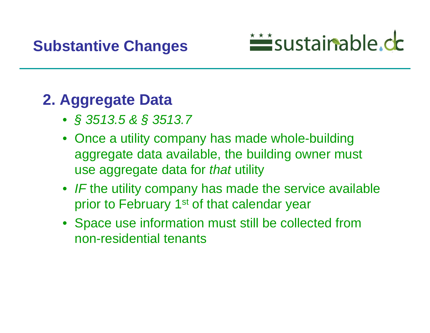#### **Substantive Changes**

# isustainable.cc

# **2. Aggregate Data**

- *§ 3513.5 & § 3513.7*
- Once a utility company has made whole-building aggregate data available, the building owner must use aggregate data for *that* utility
- IF the utility company has made the service available prior to February 1<sup>st</sup> of that calendar year
- Space use information must still be collected from non-residential tenants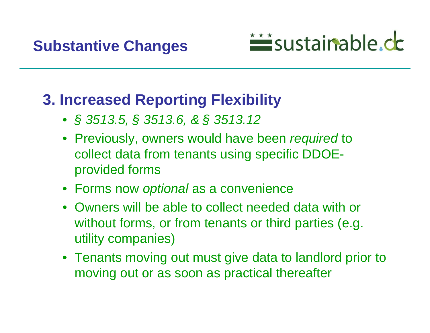

### **3. Increased Reporting Flexibility**

- *§ 3513.5, § 3513.6, & § 3513.12*
- Previously, owners would have been *required* to collect data from tenants using specific DDOEprovided forms
- Forms now *optional* as a convenience
- Owners will be able to collect needed data with or without forms, or from tenants or third parties (e.g. utility companies)
- Tenants moving out must give data to landlord prior to moving out or as soon as practical thereafter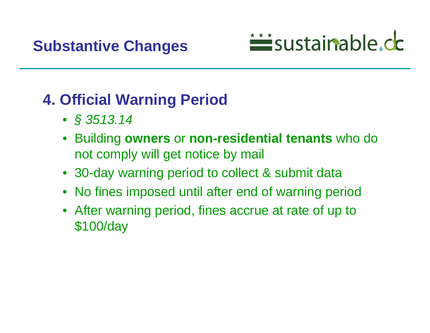# *interiorable.cc*

# **4. Official Warning Period**

- *§ 3513.14*
- • Building **owners** or **non-residential tenants** who do not comply will get notice by mail
- 30-day warning period to collect & submit data
- No fines imposed until after end of warning period
- After warning period, fines accrue at rate of up to \$100/day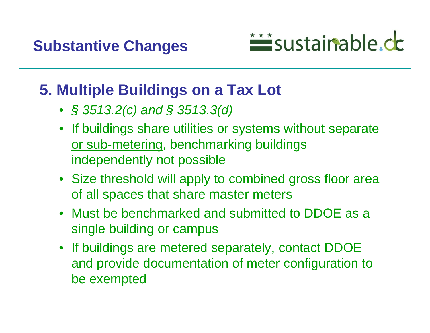

#### **5. Multiple Buildings on a Tax Lot**

- *§ 3513.2(c) and § 3513.3(d)*
- If buildings share utilities or systems without separate or sub-metering, benchmarking buildings independently not possible
- Size threshold will apply to combined gross floor area of all spaces that share master meters
- Must be benchmarked and submitted to DDOE as a single building or campus
- If buildings are metered separately, contact DDOE and provide documentation of meter configuration to be exempted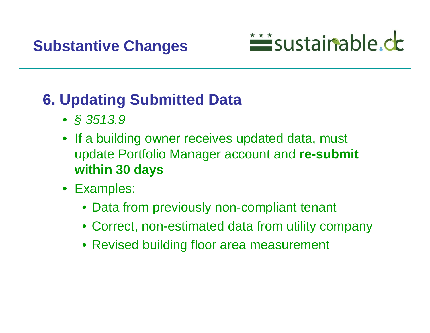

# **6. Updating Submitted Data**

- *§ 3513.9*
- If a building owner receives updated data, must update Portfolio Manager account and **re-submit within 30 days**
- Examples:
	- Data from previously non-compliant tenant
	- Correct, non-estimated data from utility company
	- Revised building floor area measurement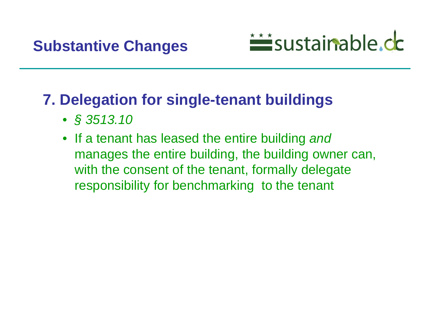

#### **7. Delegation for single-tenant buildings**

- *§ 3513.10*
- $\bullet$  If a tenant has leased the entire building *and* manages the entire building, the building owner can, with the consent of the tenant, formally delegate responsibility for benchmarking to the tenant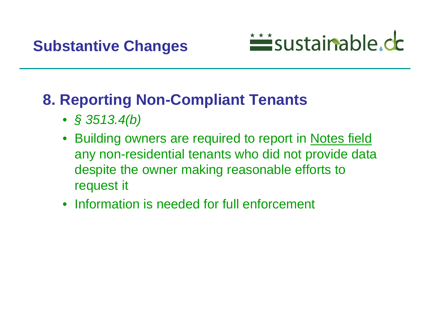

### **8. Reporting Non-Compliant Tenants**

- *§ 3513.4(b)*
- • Building owners are required to report in Notes field any non-residential tenants who did not provide data despite the owner making reasonable efforts to request it
- Information is needed for full enforcement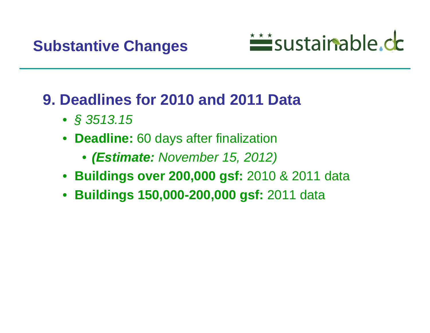

### **9. Deadlines for 2010 and 2011 Data**

- *§ 3513.15*
- • **Deadline:** 60 days after finalization
	- *(Estimate: November 15, 2012)*
- **Buildings over 200,000 gsf:** 2010 & 2011 data
- **Buildings 150,000-200,000 gsf:** 2011 data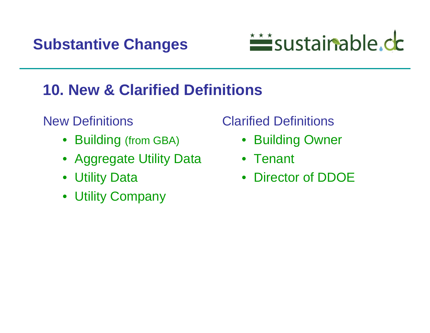

### **10. New & Clarified Definitions**

#### New Definitions

- Building (from GBA)
- Aggregate Utility Data
- Utility Data
- Utility Company

#### Clarified Definitions

- Building Owner
- Tenant
- Director of DDOE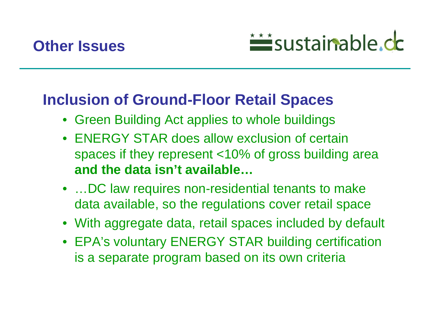



#### **Inclusion of Ground-Floor Retail Spaces**

- Green Building Act applies to whole buildings
- $\bullet$  ENERGY STAR does allow exclusion of certain spaces if they represent <10% of gross building area **and the data isn't available…**
- ...DC law requires non-residential tenants to make data available, so the regulations cover retail space
- With aggregate data, retail spaces included by default
- EPA's voluntary ENERGY STAR building certification is a separate program based on its own criteria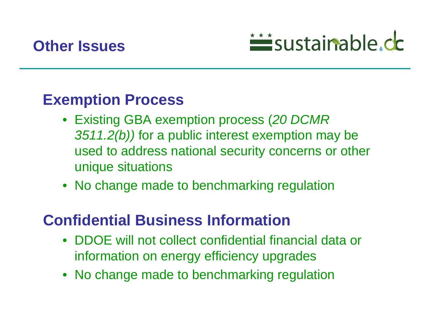



#### **Exemption Process**

- Existing GBA exemption process (*20 DCMR 3511.2(b))* for a public interest exemption may be used to address national security concerns or other unique situations
- No change made to benchmarking regulation

#### **Confidential Business Information**

- DDOE will not collect confidential financial data or information on energy efficiency upgrades
- No change made to benchmarking regulation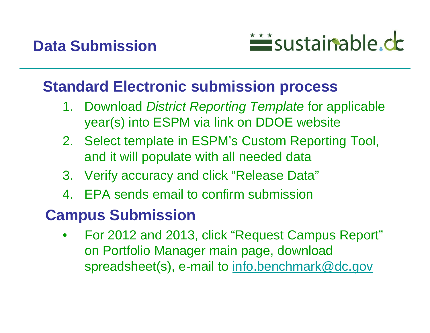

#### **Standard Electronic submission process**

- 1. Download *District Reporting Template* for applicable year(s) into ESPM via link on DDOE website
- 2. Select template in ESPM's Custom Reporting Tool, and it will populate with all needed data
- 3. Verify accuracy and click "Release Data"
- 4.EPA sends email to confirm submission

### **Campus Submission**

• For 2012 and 2013, click "Request Campus Report" on Portfolio Manager main page, download spreadsheet(s), e-mail to [info.benchmark@dc.gov](mailto:info.benchmark@dc.gov)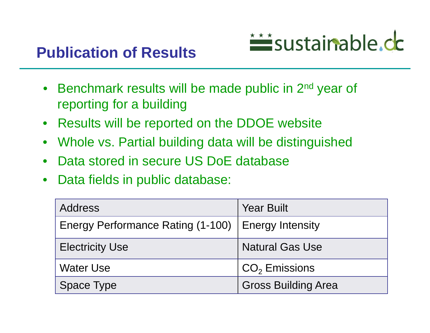

- Benchmark results will be made public in 2<sup>nd</sup> year of reporting for a building
- Results will be reported on the DDOE website
- $\bullet$ Whole vs. Partial building data will be distinguished
- •Data stored in secure US DoE database
- $\bullet$ Data fields in public database:

| <b>Address</b>                                       | <b>Year Built</b>          |
|------------------------------------------------------|----------------------------|
| Energy Performance Rating (1-100)   Energy Intensity |                            |
| <b>Electricity Use</b>                               | <b>Natural Gas Use</b>     |
| <b>Water Use</b>                                     | $CO2$ Emissions            |
| <b>Space Type</b>                                    | <b>Gross Building Area</b> |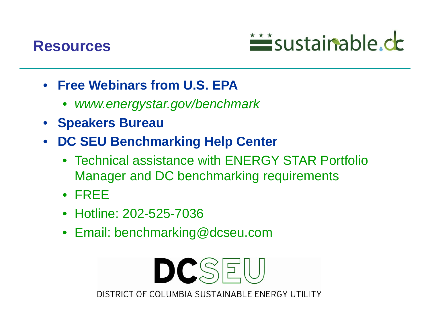



- **Free Webinars from U.S. EPA** 
	- •*www.energystar.gov/benchmark*
- **Speakers Bureau**
- • **DC SEU Benchmarking Help Center**
	- Technical assistance with ENERGY STAR Portfolio Manager and DC benchmarking requirements
	- FREE
	- Hotline: 202-525-7036
	- Email: benchmarking@dcseu.com

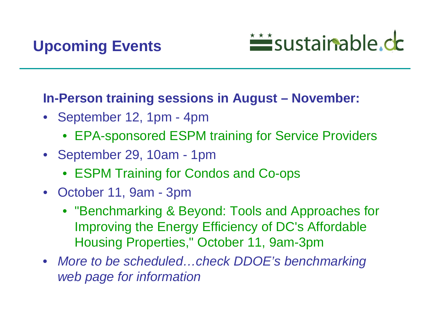# isustainable.cc

#### **In-Person training sessions in August – November:**

- September 12, 1pm 4pm
	- EPA-sponsored ESPM training for Service Providers
- September 29, 10am 1pm
	- ESPM Training for Condos and Co-ops
- October 11, 9am 3pm
	- "Benchmarking & Beyond: Tools and Approaches for Improving the Energy Efficiency of DC's Affordable Housing Properties," October 11, 9am-3pm
- *More to be scheduled…check DDOE's benchmarking web page for information*